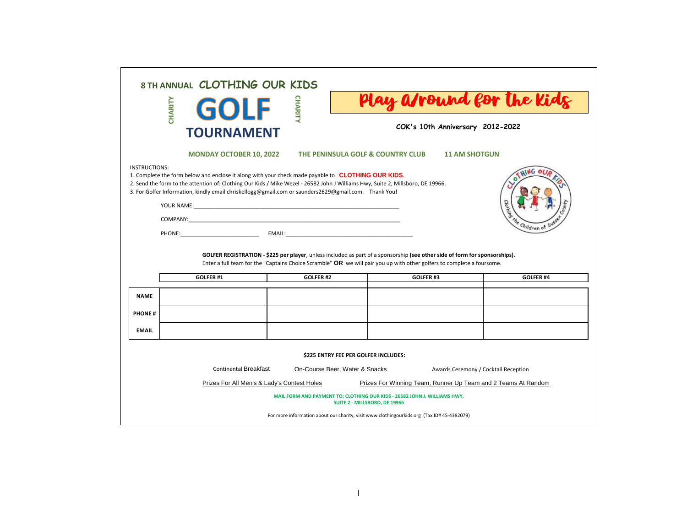|                                                                                                        | 8 TH ANNUAL CLOTHING OUR KIDS<br>CHARITY<br>GOLF<br><b>TOURNAMENT</b>                                                                                                                                                                                                                                                                                 | <b>CHARIT</b>                                                                                              | COK's 10th Anniversary 2012-2022                              | Play a/round for the Kids |  |  |  |  |  |  |
|--------------------------------------------------------------------------------------------------------|-------------------------------------------------------------------------------------------------------------------------------------------------------------------------------------------------------------------------------------------------------------------------------------------------------------------------------------------------------|------------------------------------------------------------------------------------------------------------|---------------------------------------------------------------|---------------------------|--|--|--|--|--|--|
|                                                                                                        | <b>MONDAY OCTOBER 10, 2022</b>                                                                                                                                                                                                                                                                                                                        | THE PENINSULA GOLF & COUNTRY CLUB                                                                          | <b>11 AM SHOTGUN</b>                                          |                           |  |  |  |  |  |  |
| <b>INSTRUCTIONS:</b>                                                                                   | 1. Complete the form below and enclose it along with your check made payable to <b>CLOTHING OUR KIDS</b> .<br>2. Send the form to the attention of: Clothing Our Kids / Mike Wezel - 26582 John J Williams Hwy, Suite 2, Millsboro, DE 19966.<br>3. For Golfer Information, kindly email chriskellogg@gmail.com or saunders2629@gmail.com. Thank You! |                                                                                                            |                                                               |                           |  |  |  |  |  |  |
|                                                                                                        | Children of                                                                                                                                                                                                                                                                                                                                           |                                                                                                            |                                                               |                           |  |  |  |  |  |  |
|                                                                                                        | GOLFER REGISTRATION - \$225 per player, unless included as part of a sponsorship (see other side of form for sponsorships).<br>Enter a full team for the "Captains Choice Scramble" OR we will pair you up with other golfers to complete a foursome.                                                                                                 |                                                                                                            |                                                               |                           |  |  |  |  |  |  |
|                                                                                                        | GOLFER#1                                                                                                                                                                                                                                                                                                                                              | GOLFER#2                                                                                                   | GOLFER#3                                                      | GOLFER <sub>#4</sub>      |  |  |  |  |  |  |
| <b>NAME</b>                                                                                            |                                                                                                                                                                                                                                                                                                                                                       |                                                                                                            |                                                               |                           |  |  |  |  |  |  |
| <b>PHONE#</b>                                                                                          |                                                                                                                                                                                                                                                                                                                                                       |                                                                                                            |                                                               |                           |  |  |  |  |  |  |
| <b>EMAIL</b>                                                                                           |                                                                                                                                                                                                                                                                                                                                                       |                                                                                                            |                                                               |                           |  |  |  |  |  |  |
| <b>\$225 ENTRY FEE PER GOLFER INCLUDES:</b>                                                            |                                                                                                                                                                                                                                                                                                                                                       |                                                                                                            |                                                               |                           |  |  |  |  |  |  |
| <b>Continental Breakfast</b><br>On-Course Beer, Water & Snacks<br>Awards Ceremony / Cocktail Reception |                                                                                                                                                                                                                                                                                                                                                       |                                                                                                            |                                                               |                           |  |  |  |  |  |  |
|                                                                                                        | Prizes For All Men's & Lady's Contest Holes                                                                                                                                                                                                                                                                                                           |                                                                                                            | Prizes For Winning Team, Runner Up Team and 2 Teams At Random |                           |  |  |  |  |  |  |
|                                                                                                        |                                                                                                                                                                                                                                                                                                                                                       | MAIL FORM AND PAYMENT TO: CLOTHING OUR KIDS - 26582 JOHN J. WILLIAMS HWY,<br>SUITE 2 - MILLSBORO, DE 19966 |                                                               |                           |  |  |  |  |  |  |
|                                                                                                        |                                                                                                                                                                                                                                                                                                                                                       | For more information about our charity, visit www.clothingourkids.org (Tax ID# 45-4382079)                 |                                                               |                           |  |  |  |  |  |  |